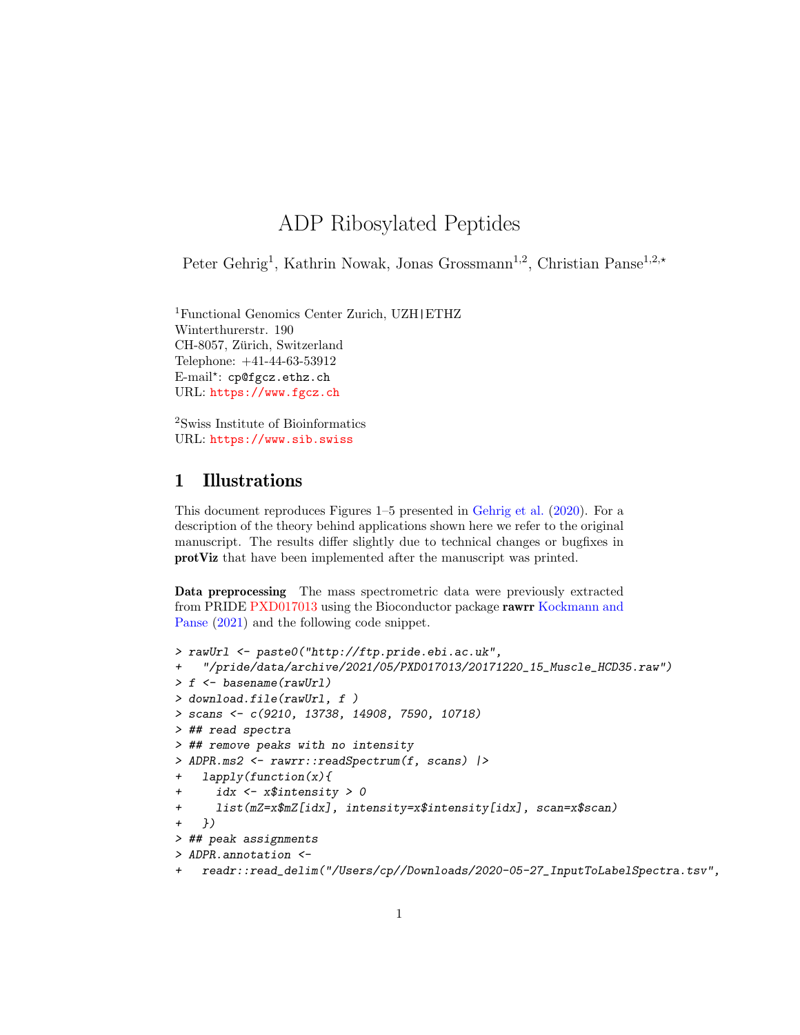## ADP Ribosylated Peptides

Peter Gehrig<sup>1</sup>, Kathrin Nowak, Jonas Grossmann<sup>1,2</sup>, Christian Panse<sup>1,2,\*</sup>

<sup>1</sup>Functional Genomics Center Zurich, UZH|ETHZ Winterthurerstr. 190 CH-8057, Zürich, Switzerland Telephone: +41-44-63-53912 E-mail\*: cp@fgcz.ethz.ch URL: <https://www.fgcz.ch>

<sup>2</sup>Swiss Institute of Bioinformatics URL: <https://www.sib.swiss>

## 1 Illustrations

This document reproduces Figures 1–5 presented in [Gehrig et al.](#page-8-0) [\(2020\)](#page-8-0). For a description of the theory behind applications shown here we refer to the original manuscript. The results differ slightly due to technical changes or bugfixes in protViz that have been implemented after the manuscript was printed.

Data preprocessing The mass spectrometric data were previously extracted from PRIDE [PXD017013](https://www.ebi.ac.uk/pride/archive/projects/PXD017013) using the Bioconductor package rawrr [Kockmann and](#page-8-1) [Panse](#page-8-1) [\(2021\)](#page-8-1) and the following code snippet.

```
> rawUrl <- paste0("http://ftp.pride.ebi.ac.uk",
    + "/pride/data/archive/2021/05/PXD017013/20171220_15_Muscle_HCD35.raw")
> f <- basename(rawUrl)
> download.file(rawUrl, f )
> scans <- c(9210, 13738, 14908, 7590, 10718)
> ## read spectra
> ## remove peaks with no intensity
> ADPR.ms2 <- rawrr::readSpectrum(f, scans) |>
    + lapply(function(x){
      + idx <- x$intensity > 0
      + list(mZ=x$mZ[idx], intensity=x$intensity[idx], scan=x$scan)
    + })
> ## peak assignments
> ADPR.annotation <-
    + readr::read_delim("/Users/cp//Downloads/2020-05-27_InputToLabelSpectra.tsv",
```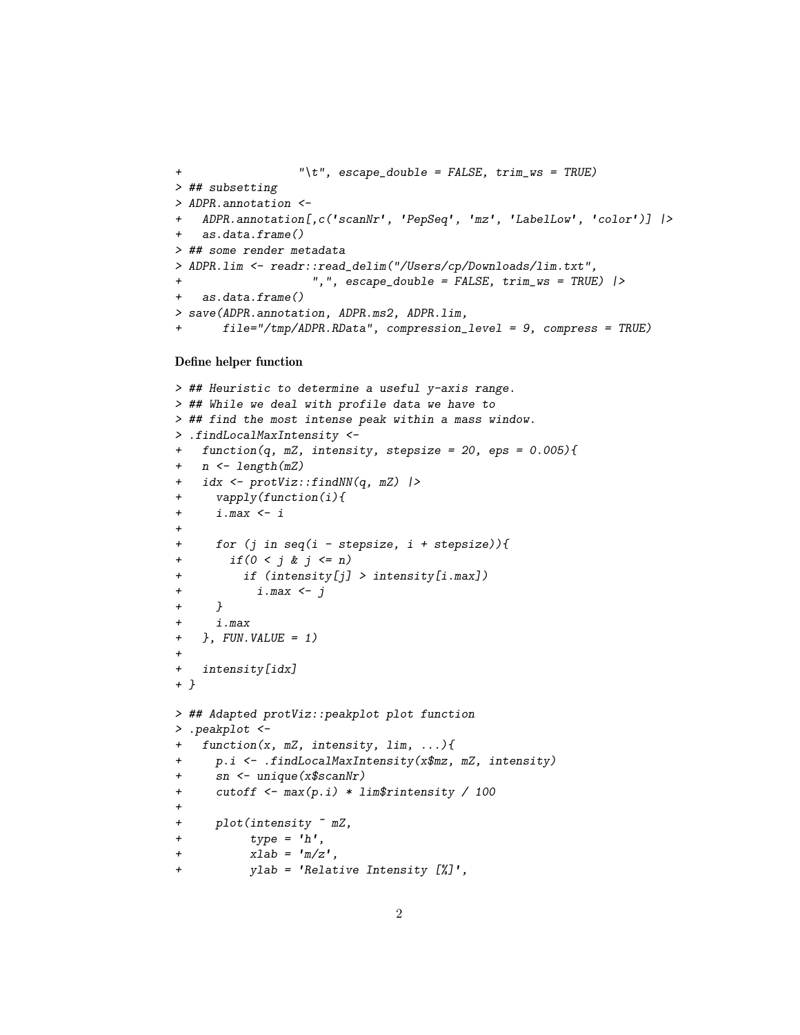```
+ "\t", escape_double = FALSE, trim_ws = TRUE)
> ## subsetting
> ADPR.annotation <-
   + ADPR.annotation[,c(✬scanNr✬, ✬PepSeq✬, ✬mz✬, ✬LabelLow✬, ✬color✬)] |>
    + as.data.frame()
> ## some render metadata
> ADPR.lim <- readr::read_delim("/Users/cp/Downloads/lim.txt",
                    + ",", escape_double = FALSE, trim_ws = TRUE) |>
+ as.data.frame()
> save(ADPR.annotation, ADPR.ms2, ADPR.lim,
       + file="/tmp/ADPR.RData", compression_level = 9, compress = TRUE)
```
## Define helper function

```
> ## Heuristic to determine a useful y-axis range.
> ## While we deal with profile data we have to
> ## find the most intense peak within a mass window.
> .findLocalMaxIntensity <-
+ function(q, mZ, intensity, stepsize = 20, eps = 0.005){
+ n <- length(mZ)
+ idx <- protViz::findNN(q, mZ) |>
+ vapply(function(i){
+ i.max <- i
+
+ for (j in seq(i - stepsize, i + stepsize)){
+ if(0 < j & j <= n)
+ if (intensity[j] > intensity[i.max])
+ i.max <- j
+ }
+ i.max
+ }, FUN.VALUE = 1)
+
+ intensity[idx]
+ }
> ## Adapted protViz::peakplot plot function
> .peakplot <-
   + function(x, mZ, intensity, lim, ...){
+ p.i <- .findLocalMaxIntensity(x$mz, mZ, intensity)
+ sn <- unique(x$scanNr)
+ cutoff <- max(p.i) * lim$rintensity / 100
+
+ plot(intensity ~ mZ,
+ type = ✬h✬,
+ type = 'h',<br>
+ xlab = 'm/z',+ ylab = ✬Relative Intensity [%]✬,
```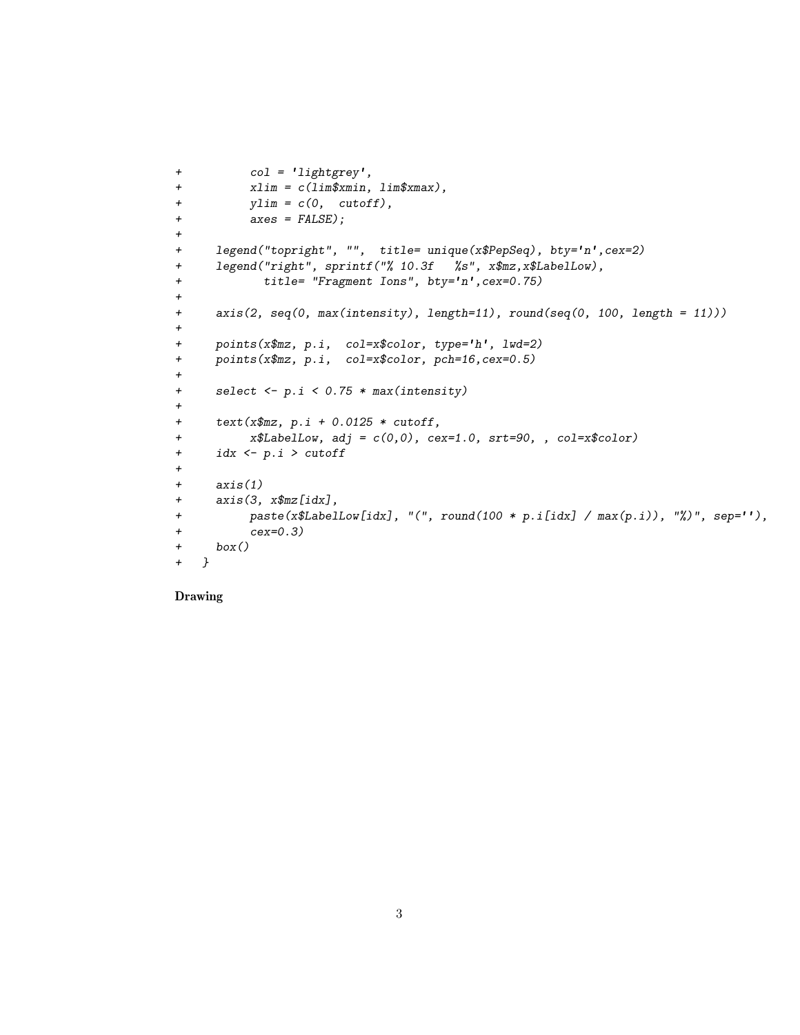```
+ col = ✬lightgrey✬,
+ xlim = c(lim$xmin, lim$xmax),
+ ylim = c(0, cutoff),
+ axes = FALSE);
+
+ legend("topright", "", title= unique(x$PepSeq), bty=✬n✬,cex=2)
+ legend("right", sprintf("% 10.3f %s", x$mz,x$LabelLow),<br>
+ title= "Fragment Ions", bty='n',cex=0.75)
+
+ axis(2, seq(0, max(intensity), length=11), round(seq(0, 100, length = 11)))
+
+ points(x$mz, p.i, col=x$color, type=✬h✬, lwd=2)
+ points(x$mz, p.i, col=x$color, pch=16,cex=0.5)
+
+ select <- p.i < 0.75 * max(intensity)
+
+ text(x$mz, p.i + 0.0125 * cutoff,
+ x$LabelLow, adj = c(0,0), cex=1.0, srt=90, , col=x$color)
+ idx <- p.i > cutoff
+
+ axis(1)
+ axis(3, x$mz[idx],
+ paste(x$LabelLow[idx], "(", round(100 * p.i[idx] / max(p.i)), "%)", sep=✬✬),
+ cex=0.3)
+ box()
+ }
```
Drawing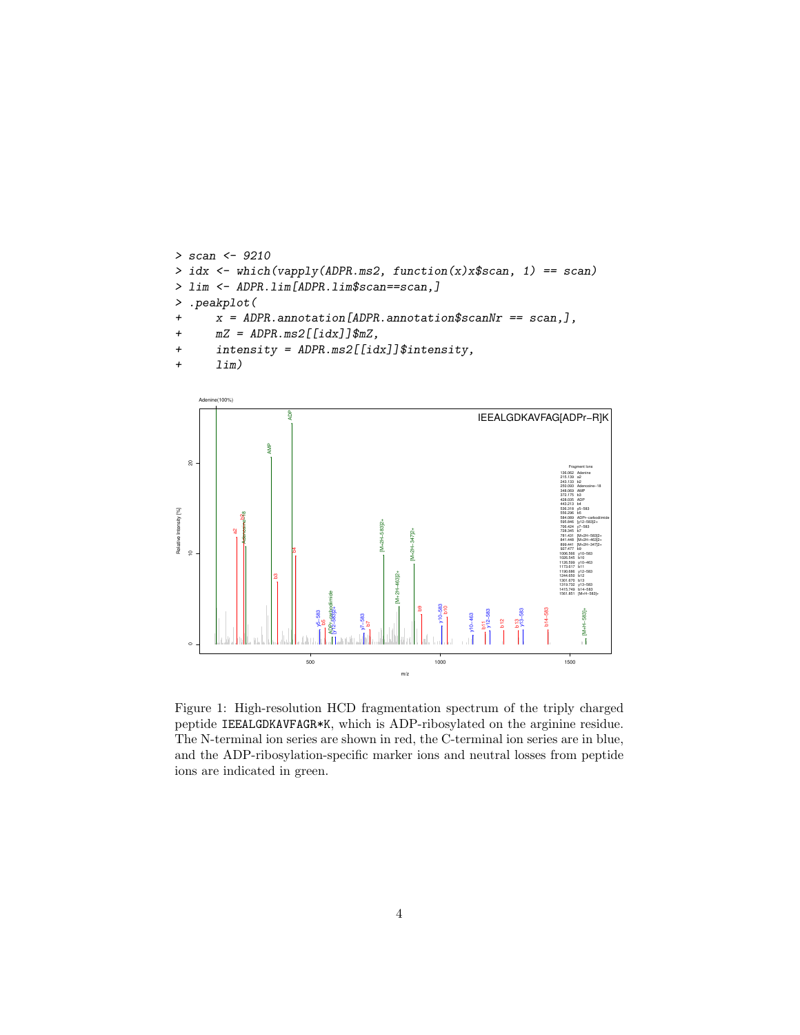```
> scan <- 9210
> idx <- which(vapply(ADPR.ms2, function(x)x$scan, 1) == scan)
> lim <- ADPR.lim[ADPR.lim$scan==scan,]
> .peakplot(
+ x = ADPR.annotation[ADPR.annotation$scanNr == scan,],
+ mZ = ADPR.ms2[[idx]]$mZ,
+ intensity = ADPR.ms2[[idx]]$intensity,
+ lim)
```


Figure 1: High-resolution HCD fragmentation spectrum of the triply charged peptide IEEALGDKAVFAGR\*K, which is ADP-ribosylated on the arginine residue. The N-terminal ion series are shown in red, the C-terminal ion series are in blue, and the ADP-ribosylation-specific marker ions and neutral losses from peptide ions are indicated in green.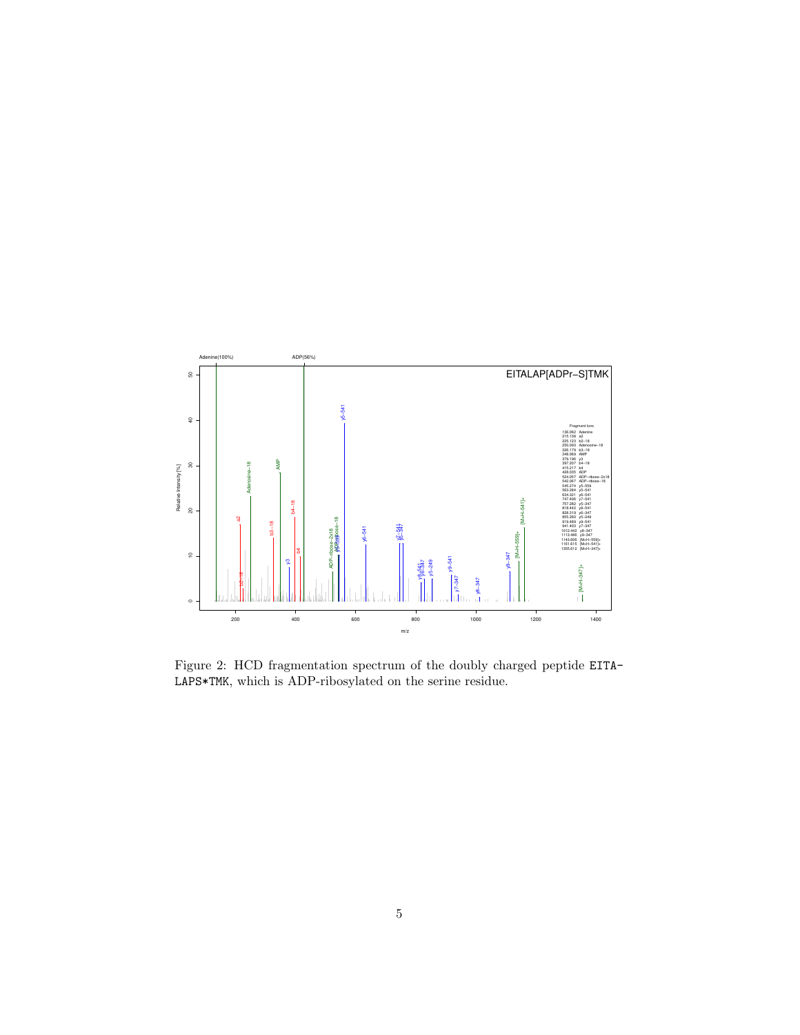

Figure 2: HCD fragmentation spectrum of the doubly charged peptide EITA-LAPS\*TMK, which is ADP-ribosylated on the serine residue.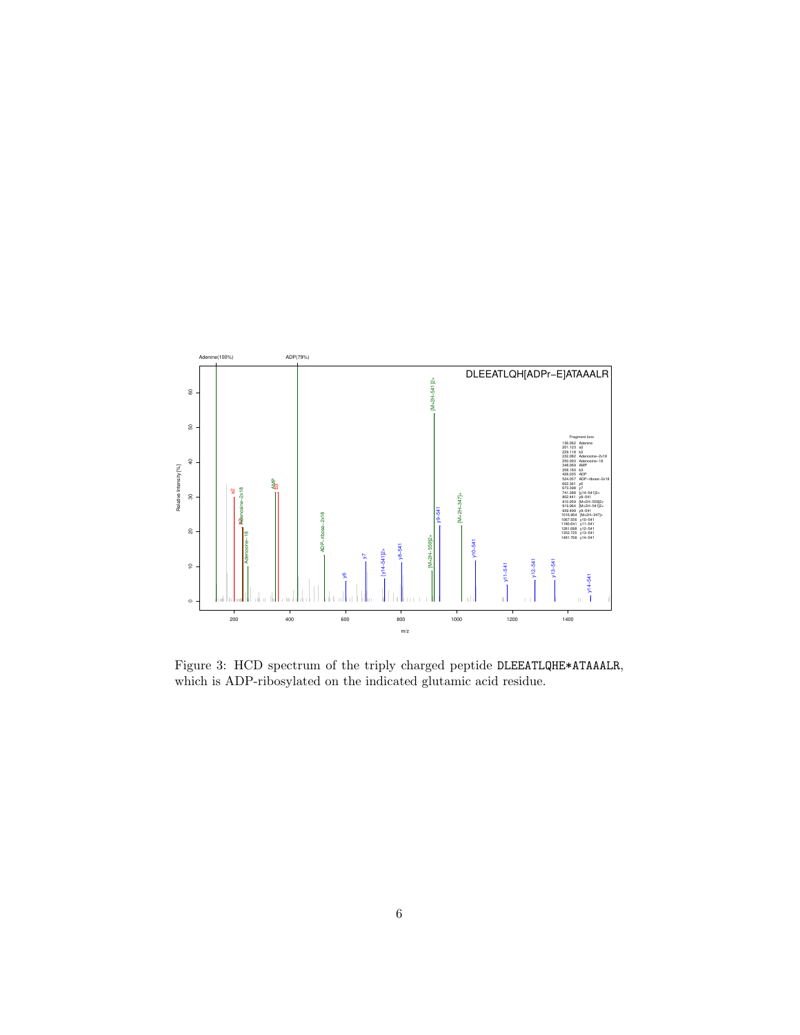

Figure 3: HCD spectrum of the triply charged peptide DLEEATLQHE\*ATAAALR, which is ADP-ribosylated on the indicated glutamic acid residue.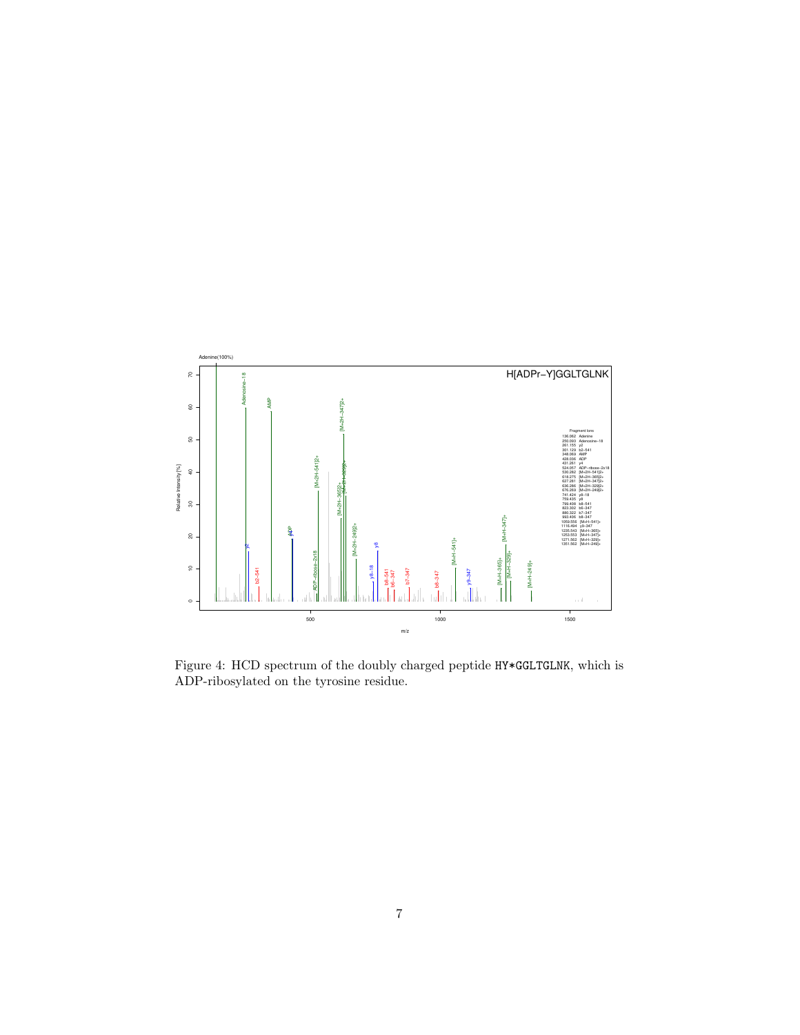

Figure 4: HCD spectrum of the doubly charged peptide HY\*GGLTGLNK, which is ADP-ribosylated on the tyrosine residue.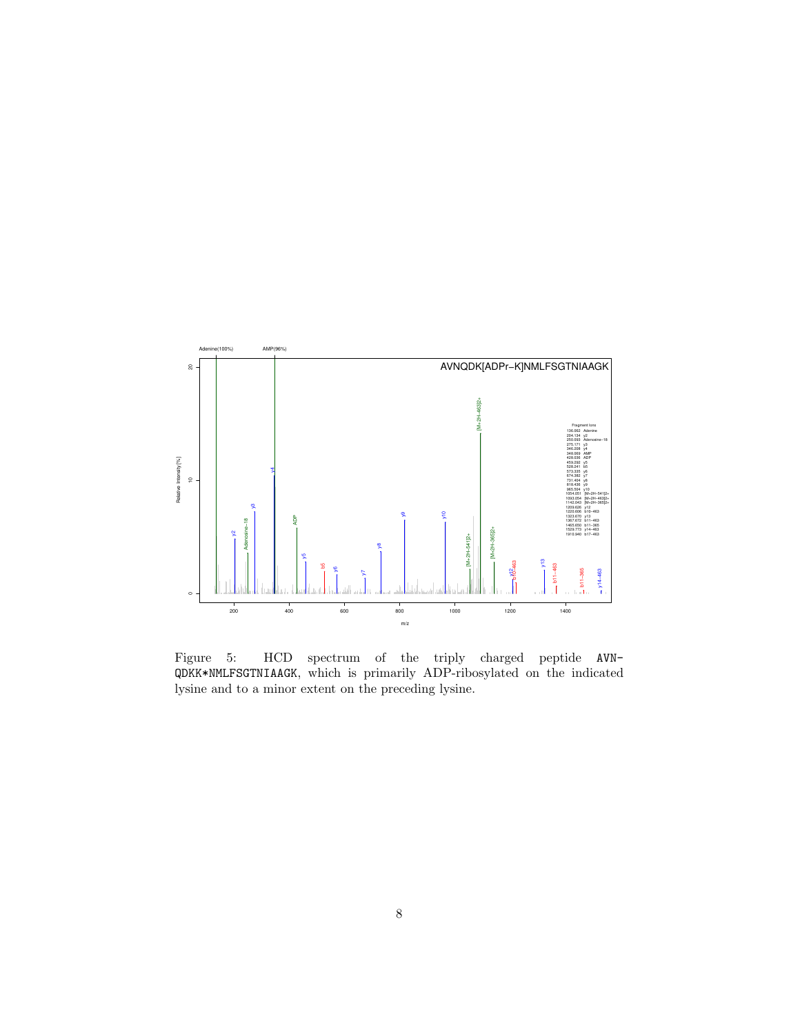

Figure 5: HCD spectrum of the triply charged peptide AVN-QDKK\*NMLFSGTNIAAGK, which is primarily ADP-ribosylated on the indicated lysine and to a minor extent on the preceding lysine.